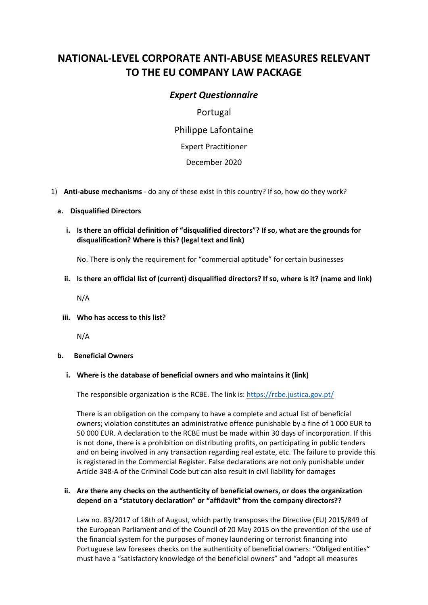# **NATIONAL-LEVEL CORPORATE ANTI-ABUSE MEASURES RELEVANT TO THE EU COMPANY LAW PACKAGE**

# *Expert Questionnaire*

Portugal Philippe Lafontaine Expert Practitioner December 2020

1) **Anti-abuse mechanisms** - do any of these exist in this country? If so, how do they work?

#### **a. Disqualified Directors**

**i. Is there an official definition of "disqualified directors"? If so, what are the grounds for disqualification? Where is this? (legal text and link)** 

No. There is only the requirement for "commercial aptitude" for certain businesses

**ii. Is there an official list of (current) disqualified directors? If so, where is it? (name and link)**

N/A

**iii. Who has access to this list?**

N/A

#### **b. Beneficial Owners**

#### **i. Where is the database of beneficial owners and who maintains it (link)**

The responsible organization is the RCBE. The link is:<https://rcbe.justica.gov.pt/>

There is an obligation on the company to have a complete and actual list of beneficial owners; violation constitutes an administrative offence punishable by a fine of 1 000 EUR to 50 000 EUR. A declaration to the RCBE must be made within 30 days of incorporation. If this is not done, there is a prohibition on distributing profits, on participating in public tenders and on being involved in any transaction regarding real estate, etc. The failure to provide this is registered in the Commercial Register. False declarations are not only punishable under Article 348-A of the Criminal Code but can also result in civil liability for damages

# **ii. Are there any checks on the authenticity of beneficial owners, or does the organization depend on a "statutory declaration" or "affidavit" from the company directors??**

Law no. 83/2017 of 18th of August, which partly transposes the Directive (EU) 2015/849 of the European Parliament and of the Council of 20 May 2015 on the prevention of the use of the financial system for the purposes of money laundering or terrorist financing into Portuguese law foresees checks on the authenticity of beneficial owners: "Obliged entities" must have a "satisfactory knowledge of the beneficial owners" and "adopt all measures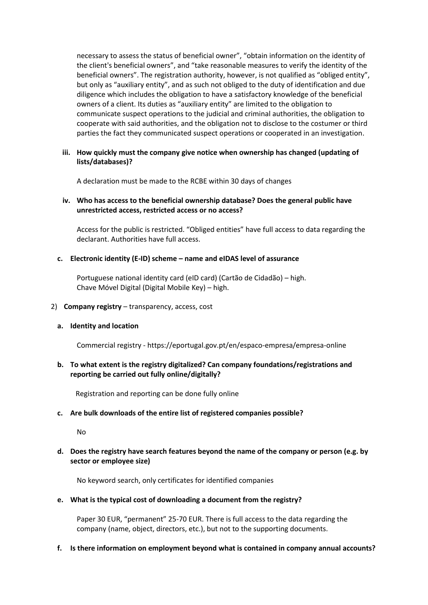necessary to assess the status of beneficial owner", "obtain information on the identity of the client's beneficial owners", and "take reasonable measures to verify the identity of the beneficial owners". The registration authority, however, is not qualified as "obliged entity", but only as "auxiliary entity", and as such not obliged to the duty of identification and due diligence which includes the obligation to have a satisfactory knowledge of the beneficial owners of a client. Its duties as "auxiliary entity" are limited to the obligation to communicate suspect operations to the judicial and criminal authorities, the obligation to cooperate with said authorities, and the obligation not to disclose to the costumer or third parties the fact they communicated suspect operations or cooperated in an investigation.

# **iii. How quickly must the company give notice when ownership has changed (updating of lists/databases)?**

A declaration must be made to the RCBE within 30 days of changes

# **iv. Who has access to the beneficial ownership database? Does the general public have unrestricted access, restricted access or no access?**

Access for the public is restricted. "Obliged entities" have full access to data regarding the declarant. Authorities have full access.

# **c. Electronic identity (E-ID) scheme – name and eIDAS level of assurance**

Portuguese national identity card (eID card) (Cartão de Cidadão) – high. Chave Móvel Digital (Digital Mobile Key) – high.

## 2) **Company registry** – transparency, access, cost

#### **a. Identity and location**

Commercial registry - https://eportugal.gov.pt/en/espaco-empresa/empresa-online

# **b. To what extent is the registry digitalized? Can company foundations/registrations and reporting be carried out fully online/digitally?**

Registration and reporting can be done fully online

# **c. Are bulk downloads of the entire list of registered companies possible?**

No

# **d. Does the registry have search features beyond the name of the company or person (e.g. by sector or employee size)**

No keyword search, only certificates for identified companies

#### **e. What is the typical cost of downloading a document from the registry?**

Paper 30 EUR, "permanent" 25-70 EUR. There is full access to the data regarding the company (name, object, directors, etc.), but not to the supporting documents.

#### **f. Is there information on employment beyond what is contained in company annual accounts?**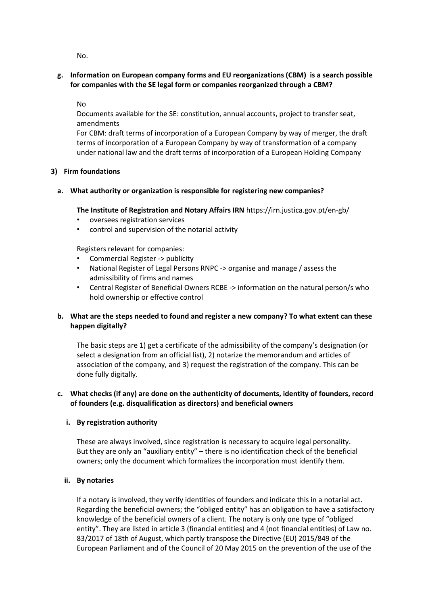No.

**g. Information on European company forms and EU reorganizations (CBM) is a search possible for companies with the SE legal form or companies reorganized through a CBM?**

No

Documents available for the SE: constitution, annual accounts, project to transfer seat, amendments

For CBM: draft terms of incorporation of a European Company by way of merger, the draft terms of incorporation of a European Company by way of transformation of a company under national law and the draft terms of incorporation of a European Holding Company

#### **3) Firm foundations**

# **a. What authority or organization is responsible for registering new companies?**

#### **The Institute of Registration and Notary Affairs IRN** https://irn.justica.gov.pt/en-gb/

- oversees registration services
- control and supervision of the notarial activity

Registers relevant for companies:

- Commercial Register -> publicity
- National Register of Legal Persons RNPC -> organise and manage / assess the admissibility of firms and names
- Central Register of Beneficial Owners RCBE -> information on the natural person/s who hold ownership or effective control

# **b. What are the steps needed to found and register a new company? To what extent can these happen digitally?**

The basic steps are 1) get a certificate of the admissibility of the company's designation (or select a designation from an official list), 2) notarize the memorandum and articles of association of the company, and 3) request the registration of the company. This can be done fully digitally.

# **c. What checks (if any) are done on the authenticity of documents, identity of founders, record of founders (e.g. disqualification as directors) and beneficial owners**

# **i. By registration authority**

These are always involved, since registration is necessary to acquire legal personality. But they are only an "auxiliary entity" – there is no identification check of the beneficial owners; only the document which formalizes the incorporation must identify them.

#### **ii. By notaries**

If a notary is involved, they verify identities of founders and indicate this in a notarial act. Regarding the beneficial owners; the "obliged entity" has an obligation to have a satisfactory knowledge of the beneficial owners of a client. The notary is only one type of "obliged entity". They are listed in article 3 (financial entities) and 4 (not financial entities) of Law no. 83/2017 of 18th of August, which partly transpose the Directive (EU) 2015/849 of the European Parliament and of the Council of 20 May 2015 on the prevention of the use of the